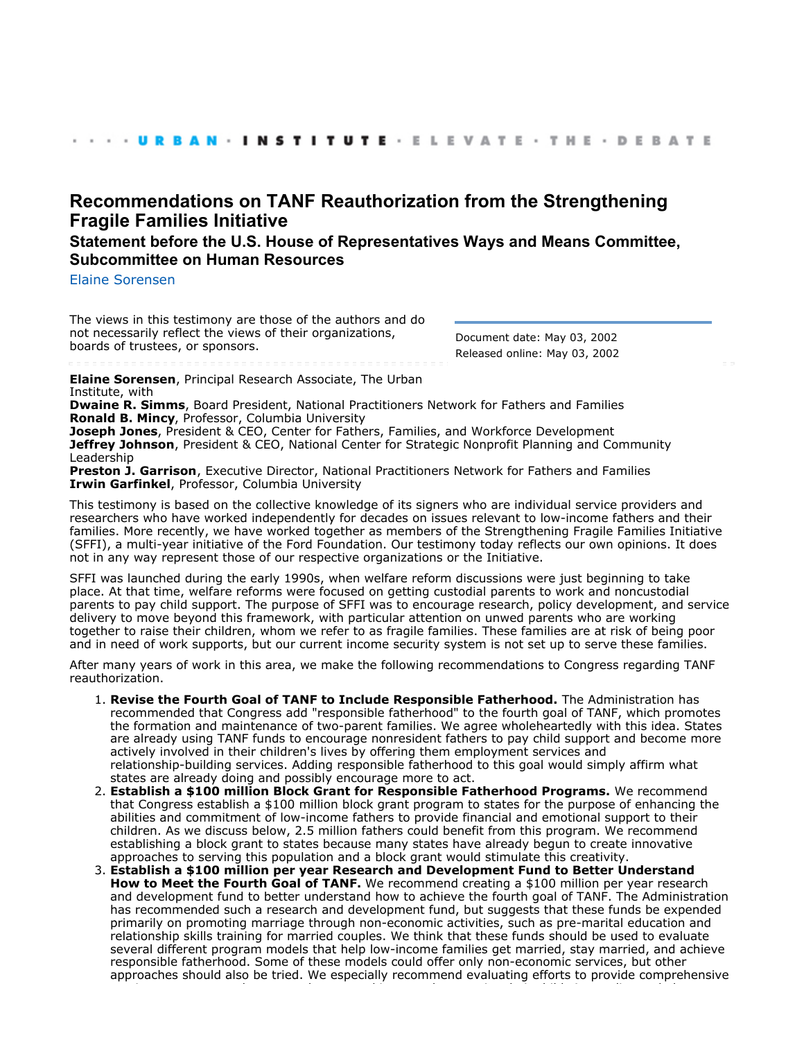# **[Recommendations on TANF Reauthorization from the Strengthening](http://webarchive.urban.org/index.cfm) [Fragile Families Initiative](http://webarchive.urban.org/index.cfm)**

# **Statement before the U.S. House of Representatives Ways and Means Committee, Subcommittee on Human Resources**

[Elaine Sorensen](http://www.urban.org/ElaineSorensen)

The views in this testimony are those of the authors and do not necessarily reflect the views of their organizations, boards of trustees, or sponsors.

Document date: May 03, 2002 Released online: May 03, 2002

**Elaine Sorensen**, Principal Research Associate, The Urban Institute, with

**Dwaine R. Simms**, Board President, National Practitioners Network for Fathers and Families **Ronald B. Mincy**, Professor, Columbia University

**Joseph Jones**, President & CEO, Center for Fathers, Families, and Workforce Development **Jeffrey Johnson**, President & CEO, National Center for Strategic Nonprofit Planning and Community Leadership

**Preston J. Garrison**, Executive Director, National Practitioners Network for Fathers and Families **Irwin Garfinkel**, Professor, Columbia University

This testimony is based on the collective knowledge of its signers who are individual service providers and researchers who have worked independently for decades on issues relevant to low-income fathers and their families. More recently, we have worked together as members of the Strengthening Fragile Families Initiative (SFFI), a multi-year initiative of the Ford Foundation. Our testimony today reflects our own opinions. It does not in any way represent those of our respective organizations or the Initiative.

SFFI was launched during the early 1990s, when welfare reform discussions were just beginning to take place. At that time, welfare reforms were focused on getting custodial parents to work and noncustodial parents to pay child support. The purpose of SFFI was to encourage research, policy development, and service delivery to move beyond this framework, with particular attention on unwed parents who are working together to raise their children, whom we refer to as fragile families. These families are at risk of being poor and in need of work supports, but our current income security system is not set up to serve these families.

After many years of work in this area, we make the following recommendations to Congress regarding TANF reauthorization.

- **Revise the Fourth Goal of TANF to Include Responsible Fatherhood.** The Administration has 1. recommended that Congress add "responsible fatherhood" to the fourth goal of TANF, which promotes the formation and maintenance of two-parent families. We agree wholeheartedly with this idea. States are already using TANF funds to encourage nonresident fathers to pay child support and become more actively involved in their children's lives by offering them employment services and relationship-building services. Adding responsible fatherhood to this goal would simply affirm what states are already doing and possibly encourage more to act.
- **Establish a \$100 million Block Grant for Responsible Fatherhood Programs.** We recommend 2. that Congress establish a \$100 million block grant program to states for the purpose of enhancing the abilities and commitment of low-income fathers to provide financial and emotional support to their children. As we discuss below, 2.5 million fathers could benefit from this program. We recommend establishing a block grant to states because many states have already begun to create innovative approaches to serving this population and a block grant would stimulate this creativity.
- **Establish a \$100 million per year Research and Development Fund to Better Understand** 3. **How to Meet the Fourth Goal of TANF.** We recommend creating a \$100 million per year research and development fund to better understand how to achieve the fourth goal of TANF. The Administration has recommended such a research and development fund, but suggests that these funds be expended primarily on promoting marriage through non-economic activities, such as pre-marital education and relationship skills training for married couples. We think that these funds should be used to evaluate several different program models that help low-income families get married, stay married, and achieve responsible fatherhood. Some of these models could offer only non-economic services, but other approaches should also be tried. We especially recommend evaluating efforts to provide comprehensive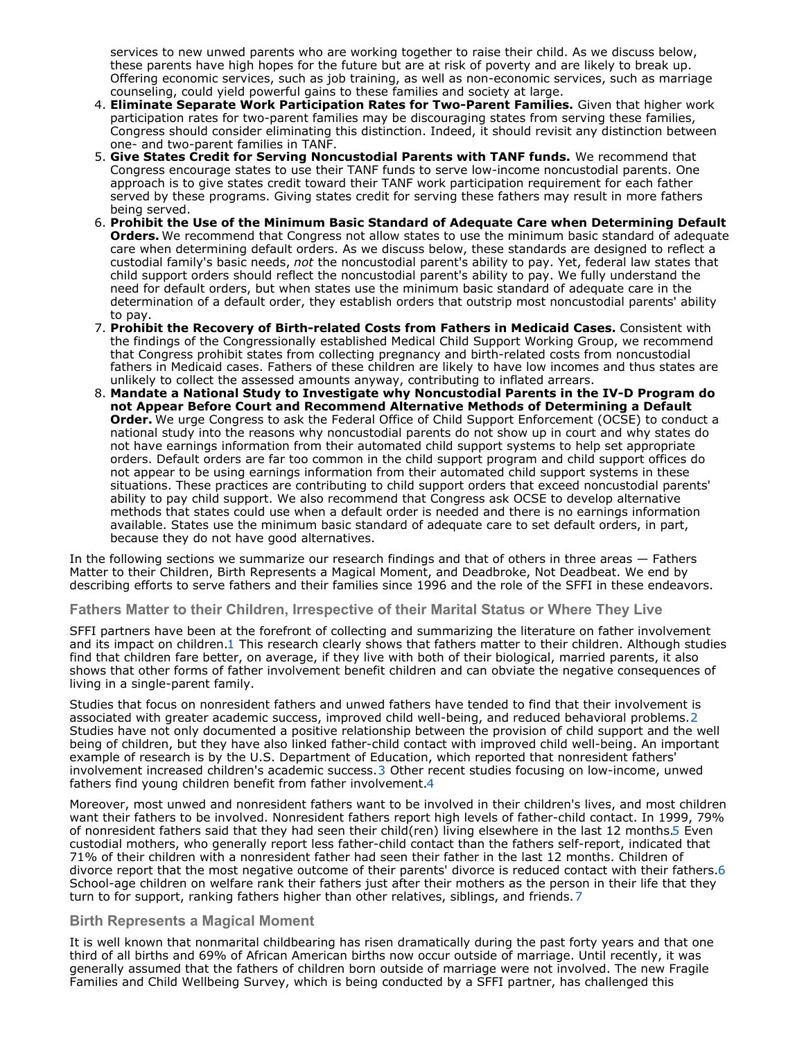services to new unwed parents who are working together to raise their child. As we discuss below, these parents have high hopes for the future but are at risk of poverty and are likely to break up. Offering economic services, such as job training, as well as non-economic services, such as marriage counseling, could yield powerful gains to these families and society at large.

- **Eliminate Separate Work Participation Rates for Two-Parent Families.** Given that higher work 4. participation rates for two-parent families may be discouraging states from serving these families, Congress should consider eliminating this distinction. Indeed, it should revisit any distinction between one- and two-parent families in TANF.
- **Give States Credit for Serving Noncustodial Parents with TANF funds.** We recommend that 5. Congress encourage states to use their TANF funds to serve low-income noncustodial parents. One approach is to give states credit toward their TANF work participation requirement for each father served by these programs. Giving states credit for serving these fathers may result in more fathers being served.
- **Prohibit the Use of the Minimum Basic Standard of Adequate Care when Determining Default** 6. **Orders.** We recommend that Congress not allow states to use the minimum basic standard of adequate care when determining default orders. As we discuss below, these standards are designed to reflect a custodial family's basic needs, *not* the noncustodial parent's ability to pay. Yet, federal law states that child support orders should reflect the noncustodial parent's ability to pay. We fully understand the need for default orders, but when states use the minimum basic standard of adequate care in the determination of a default order, they establish orders that outstrip most noncustodial parents' ability to pay.
- **Prohibit the Recovery of Birth-related Costs from Fathers in Medicaid Cases.** Consistent with 7. the findings of the Congressionally established Medical Child Support Working Group, we recommend that Congress prohibit states from collecting pregnancy and birth-related costs from noncustodial fathers in Medicaid cases. Fathers of these children are likely to have low incomes and thus states are unlikely to collect the assessed amounts anyway, contributing to inflated arrears.
- **Mandate a National Study to Investigate why Noncustodial Parents in the IV-D Program do** 8. **not Appear Before Court and Recommend Alternative Methods of Determining a Default Order.** We urge Congress to ask the Federal Office of Child Support Enforcement (OCSE) to conduct a national study into the reasons why noncustodial parents do not show up in court and why states do not have earnings information from their automated child support systems to help set appropriate orders. Default orders are far too common in the child support program and child support offices do not appear to be using earnings information from their automated child support systems in these situations. These practices are contributing to child support orders that exceed noncustodial parents' ability to pay child support. We also recommend that Congress ask OCSE to develop alternative methods that states could use when a default order is needed and there is no earnings information available. States use the minimum basic standard of adequate care to set default orders, in part, because they do not have good alternatives.

In the following sections we summarize our research findings and that of others in three areas — Fathers Matter to their Children, Birth Represents a Magical Moment, and Deadbroke, Not Deadbeat. We end by describing efforts to serve fathers and their families since 1996 and the role of the SFFI in these endeavors.

# **Fathers Matter to their Children, Irrespective of their Marital Status or Where They Live**

SFFI partners have been at the forefront of collecting and summarizing the literature on father involvement and its impact on children.1 This research clearly shows that fathers matter to their children. Although studies find that children fare better, on average, if they live with both of their biological, married parents, it also shows that other forms of father involvement benefit children and can obviate the negative consequences of living in a single-parent family.

Studies that focus on nonresident fathers and unwed fathers have tended to find that their involvement is associated with greater academic success, improved child well-being, and reduced behavioral problems.2 Studies have not only documented a positive relationship between the provision of child support and the well being of children, but they have also linked father-child contact with improved child well-being. An important example of research is by the U.S. Department of Education, which reported that nonresident fathers' involvement increased children's academic success.3 Other recent studies focusing on low-income, unwed fathers find young children benefit from father involvement.4

Moreover, most unwed and nonresident fathers want to be involved in their children's lives, and most children want their fathers to be involved. Nonresident fathers report high levels of father-child contact. In 1999, 79% of nonresident fathers said that they had seen their child(ren) living elsewhere in the last 12 months.5 Even custodial mothers, who generally report less father-child contact than the fathers self-report, indicated that 71% of their children with a nonresident father had seen their father in the last 12 months. Children of divorce report that the most negative outcome of their parents' divorce is reduced contact with their fathers.6 School-age children on welfare rank their fathers just after their mothers as the person in their life that they turn to for support, ranking fathers higher than other relatives, siblings, and friends.7

### **Birth Represents a Magical Moment**

It is well known that nonmarital childbearing has risen dramatically during the past forty years and that one third of all births and 69% of African American births now occur outside of marriage. Until recently, it was generally assumed that the fathers of children born outside of marriage were not involved. The new Fragile Families and Child Wellbeing Survey, which is being conducted by a SFFI partner, has challenged this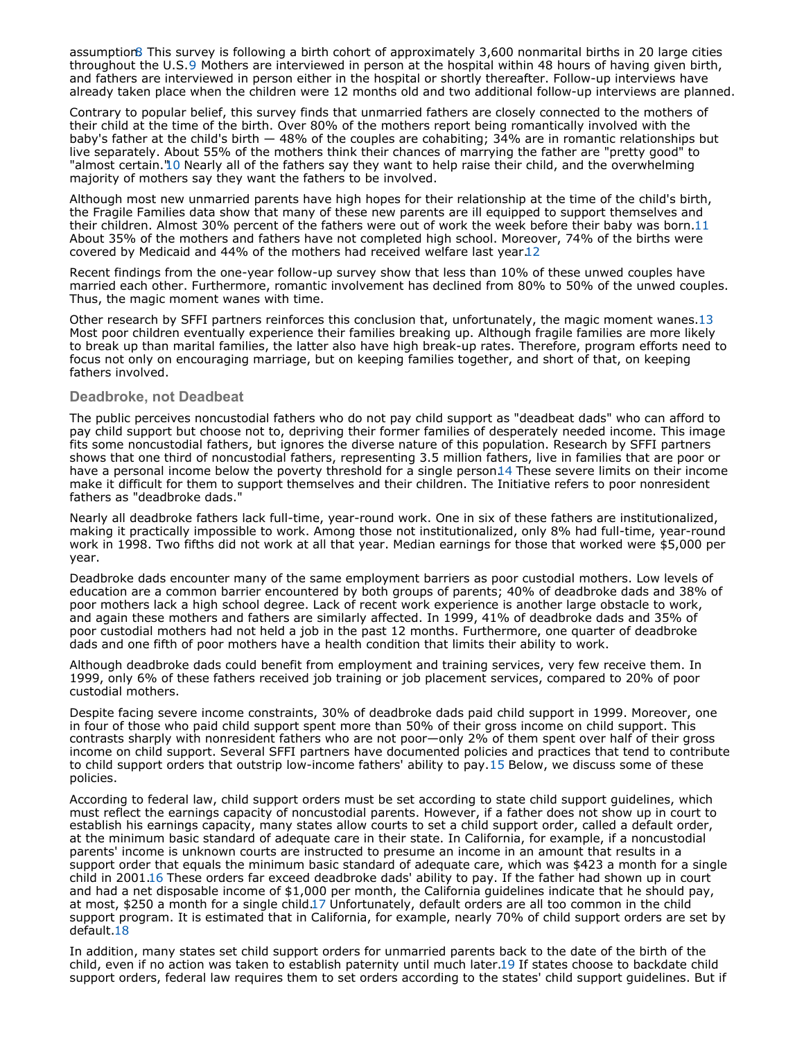assumption. This survey is following a birth cohort of approximately 3,600 nonmarital births in 20 large cities throughout the U.S.9 Mothers are interviewed in person at the hospital within 48 hours of having given birth, and fathers are interviewed in person either in the hospital or shortly thereafter. Follow-up interviews have already taken place when the children were 12 months old and two additional follow-up interviews are planned.

Contrary to popular belief, this survey finds that unmarried fathers are closely connected to the mothers of their child at the time of the birth. Over 80% of the mothers report being romantically involved with the baby's father at the child's birth — 48% of the couples are cohabiting; 34% are in romantic relationships but live separately. About 55% of the mothers think their chances of marrying the father are "pretty good" to "almost certain."10 Nearly all of the fathers say they want to help raise their child, and the overwhelming majority of mothers say they want the fathers to be involved.

Although most new unmarried parents have high hopes for their relationship at the time of the child's birth, the Fragile Families data show that many of these new parents are ill equipped to support themselves and their children. Almost 30% percent of the fathers were out of work the week before their baby was born.11 About 35% of the mothers and fathers have not completed high school. Moreover, 74% of the births were covered by Medicaid and 44% of the mothers had received welfare last year.12

Recent findings from the one-year follow-up survey show that less than 10% of these unwed couples have married each other. Furthermore, romantic involvement has declined from 80% to 50% of the unwed couples. Thus, the magic moment wanes with time.

Other research by SFFI partners reinforces this conclusion that, unfortunately, the magic moment wanes.13 Most poor children eventually experience their families breaking up. Although fragile families are more likely to break up than marital families, the latter also have high break-up rates. Therefore, program efforts need to focus not only on encouraging marriage, but on keeping families together, and short of that, on keeping fathers involved.

## **Deadbroke, not Deadbeat**

The public perceives noncustodial fathers who do not pay child support as "deadbeat dads" who can afford to pay child support but choose not to, depriving their former families of desperately needed income. This image fits some noncustodial fathers, but ignores the diverse nature of this population. Research by SFFI partners shows that one third of noncustodial fathers, representing 3.5 million fathers, live in families that are poor or have a personal income below the poverty threshold for a single person14 These severe limits on their income make it difficult for them to support themselves and their children. The Initiative refers to poor nonresident fathers as "deadbroke dads."

Nearly all deadbroke fathers lack full-time, year-round work. One in six of these fathers are institutionalized, making it practically impossible to work. Among those not institutionalized, only 8% had full-time, year-round work in 1998. Two fifths did not work at all that year. Median earnings for those that worked were \$5,000 per year.

Deadbroke dads encounter many of the same employment barriers as poor custodial mothers. Low levels of education are a common barrier encountered by both groups of parents; 40% of deadbroke dads and 38% of poor mothers lack a high school degree. Lack of recent work experience is another large obstacle to work, and again these mothers and fathers are similarly affected. In 1999, 41% of deadbroke dads and 35% of poor custodial mothers had not held a job in the past 12 months. Furthermore, one quarter of deadbroke dads and one fifth of poor mothers have a health condition that limits their ability to work.

Although deadbroke dads could benefit from employment and training services, very few receive them. In 1999, only 6% of these fathers received job training or job placement services, compared to 20% of poor custodial mothers.

Despite facing severe income constraints, 30% of deadbroke dads paid child support in 1999. Moreover, one in four of those who paid child support spent more than 50% of their gross income on child support. This contrasts sharply with nonresident fathers who are not poor—only 2% of them spent over half of their gross income on child support. Several SFFI partners have documented policies and practices that tend to contribute to child support orders that outstrip low-income fathers' ability to pay.15 Below, we discuss some of these policies.

According to federal law, child support orders must be set according to state child support guidelines, which must reflect the earnings capacity of noncustodial parents. However, if a father does not show up in court to establish his earnings capacity, many states allow courts to set a child support order, called a default order, at the minimum basic standard of adequate care in their state. In California, for example, if a noncustodial parents' income is unknown courts are instructed to presume an income in an amount that results in a support order that equals the minimum basic standard of adequate care, which was \$423 a month for a single child in 2001.16 These orders far exceed deadbroke dads' ability to pay. If the father had shown up in court and had a net disposable income of \$1,000 per month, the California guidelines indicate that he should pay, at most, \$250 a month for a single child.17 Unfortunately, default orders are all too common in the child support program. It is estimated that in California, for example, nearly 70% of child support orders are set by default.18

In addition, many states set child support orders for unmarried parents back to the date of the birth of the child, even if no action was taken to establish paternity until much later.19 If states choose to backdate child support orders, federal law requires them to set orders according to the states' child support guidelines. But if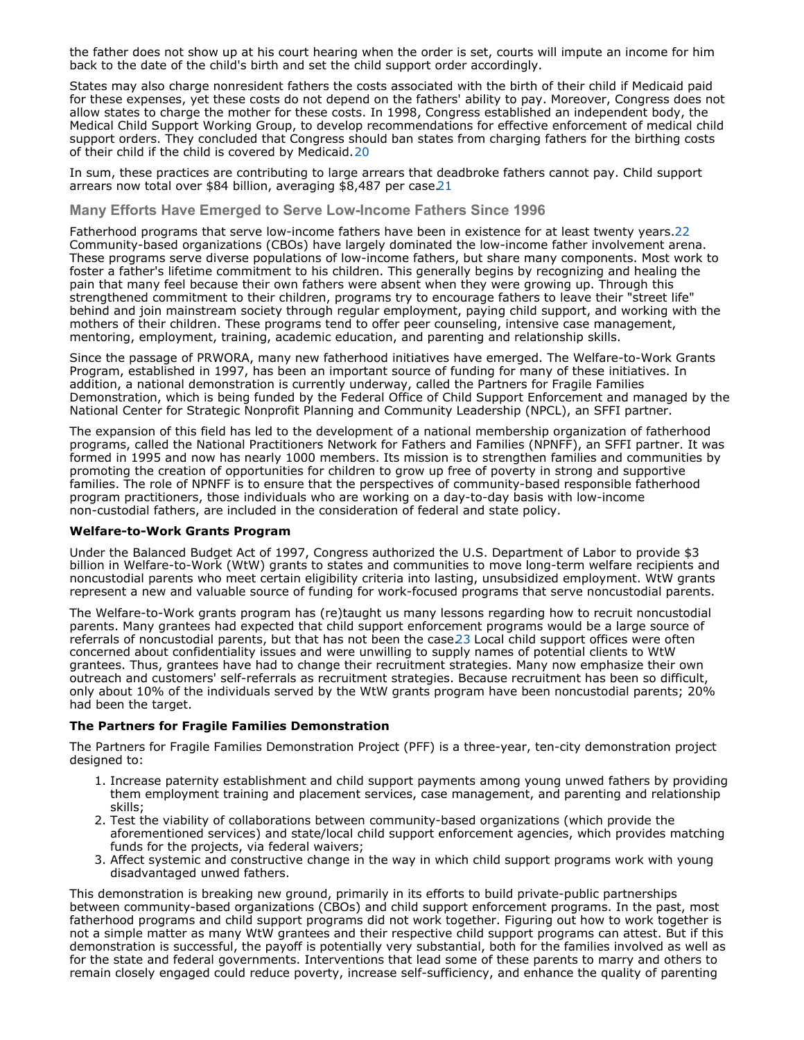the father does not show up at his court hearing when the order is set, courts will impute an income for him back to the date of the child's birth and set the child support order accordingly.

States may also charge nonresident fathers the costs associated with the birth of their child if Medicaid paid for these expenses, yet these costs do not depend on the fathers' ability to pay. Moreover, Congress does not allow states to charge the mother for these costs. In 1998, Congress established an independent body, the Medical Child Support Working Group, to develop recommendations for effective enforcement of medical child support orders. They concluded that Congress should ban states from charging fathers for the birthing costs of their child if the child is covered by Medicaid. 20

In sum, these practices are contributing to large arrears that deadbroke fathers cannot pay. Child support arrears now total over \$84 billion, averaging \$8,487 per case.21

**Many Efforts Have Emerged to Serve Low-Income Fathers Since 1996**

Fatherhood programs that serve low-income fathers have been in existence for at least twenty years.22 Community-based organizations (CBOs) have largely dominated the low-income father involvement arena. These programs serve diverse populations of low-income fathers, but share many components. Most work to foster a father's lifetime commitment to his children. This generally begins by recognizing and healing the pain that many feel because their own fathers were absent when they were growing up. Through this strengthened commitment to their children, programs try to encourage fathers to leave their "street life" behind and join mainstream society through regular employment, paying child support, and working with the mothers of their children. These programs tend to offer peer counseling, intensive case management, mentoring, employment, training, academic education, and parenting and relationship skills.

Since the passage of PRWORA, many new fatherhood initiatives have emerged. The Welfare-to-Work Grants Program, established in 1997, has been an important source of funding for many of these initiatives. In addition, a national demonstration is currently underway, called the Partners for Fragile Families Demonstration, which is being funded by the Federal Office of Child Support Enforcement and managed by the National Center for Strategic Nonprofit Planning and Community Leadership (NPCL), an SFFI partner.

The expansion of this field has led to the development of a national membership organization of fatherhood programs, called the National Practitioners Network for Fathers and Families (NPNFF), an SFFI partner. It was formed in 1995 and now has nearly 1000 members. Its mission is to strengthen families and communities by promoting the creation of opportunities for children to grow up free of poverty in strong and supportive families. The role of NPNFF is to ensure that the perspectives of community-based responsible fatherhood program practitioners, those individuals who are working on a day-to-day basis with low-income non-custodial fathers, are included in the consideration of federal and state policy.

### **Welfare-to-Work Grants Program**

Under the Balanced Budget Act of 1997, Congress authorized the U.S. Department of Labor to provide \$3 billion in Welfare-to-Work (WtW) grants to states and communities to move long-term welfare recipients and noncustodial parents who meet certain eligibility criteria into lasting, unsubsidized employment. WtW grants represent a new and valuable source of funding for work-focused programs that serve noncustodial parents.

The Welfare-to-Work grants program has (re)taught us many lessons regarding how to recruit noncustodial parents. Many grantees had expected that child support enforcement programs would be a large source of referrals of noncustodial parents, but that has not been the case 23 Local child support offices were often concerned about confidentiality issues and were unwilling to supply names of potential clients to WtW grantees. Thus, grantees have had to change their recruitment strategies. Many now emphasize their own outreach and customers' self-referrals as recruitment strategies. Because recruitment has been so difficult, only about 10% of the individuals served by the WtW grants program have been noncustodial parents; 20% had been the target.

### **The Partners for Fragile Families Demonstration**

The Partners for Fragile Families Demonstration Project (PFF) is a three-year, ten-city demonstration project designed to:

- 1. Increase paternity establishment and child support payments among young unwed fathers by providing them employment training and placement services, case management, and parenting and relationship skills;
- 2. Test the viability of collaborations between community-based organizations (which provide the aforementioned services) and state/local child support enforcement agencies, which provides matching funds for the projects, via federal waivers;
- 3. Affect systemic and constructive change in the way in which child support programs work with young disadvantaged unwed fathers.

This demonstration is breaking new ground, primarily in its efforts to build private-public partnerships between community-based organizations (CBOs) and child support enforcement programs. In the past, most fatherhood programs and child support programs did not work together. Figuring out how to work together is not a simple matter as many WtW grantees and their respective child support programs can attest. But if this demonstration is successful, the payoff is potentially very substantial, both for the families involved as well as for the state and federal governments. Interventions that lead some of these parents to marry and others to remain closely engaged could reduce poverty, increase self-sufficiency, and enhance the quality of parenting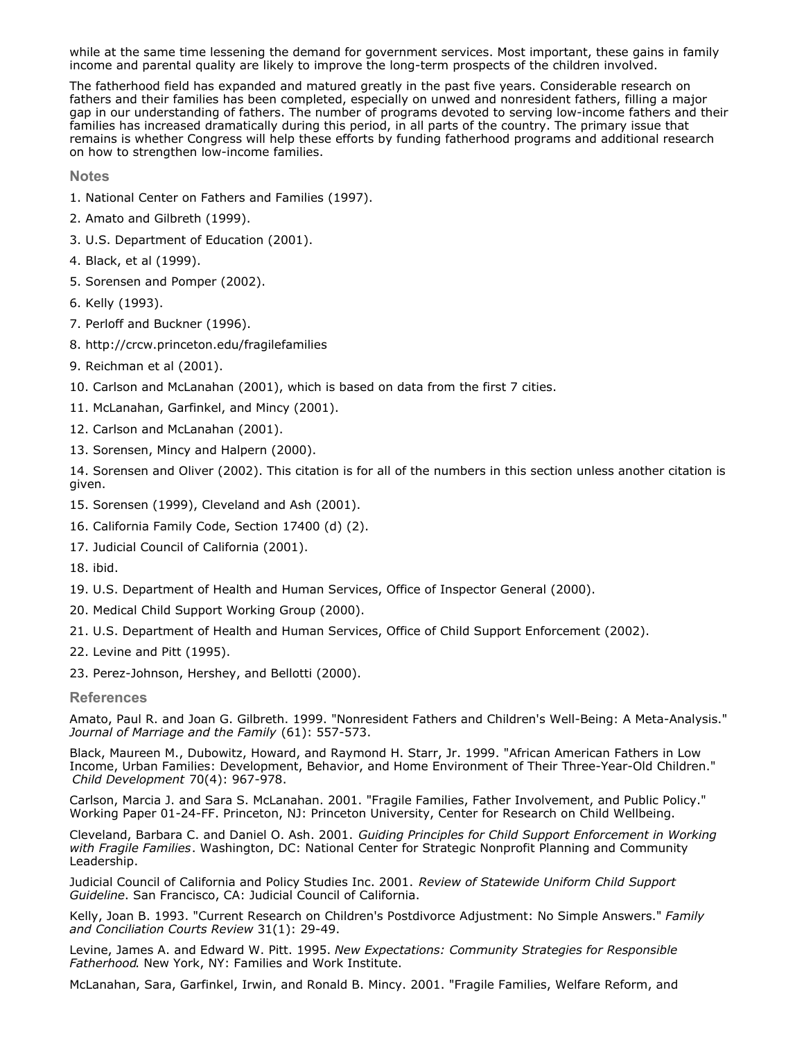while at the same time lessening the demand for government services. Most important, these gains in family income and parental quality are likely to improve the long-term prospects of the children involved.

The fatherhood field has expanded and matured greatly in the past five years. Considerable research on fathers and their families has been completed, especially on unwed and nonresident fathers, filling a major gap in our understanding of fathers. The number of programs devoted to serving low-income fathers and their families has increased dramatically during this period, in all parts of the country. The primary issue that remains is whether Congress will help these efforts by funding fatherhood programs and additional research on how to strengthen low-income families.

**Notes**

- 1. National Center on Fathers and Families (1997).
- 2. Amato and Gilbreth (1999).
- 3. U.S. Department of Education (2001).
- 4. Black, et al (1999).
- 5. Sorensen and Pomper (2002).
- 6. Kelly (1993).
- 7. Perloff and Buckner (1996).
- 8. http://crcw.princeton.edu/fragilefamilies
- 9. Reichman et al (2001).
- 10. Carlson and McLanahan (2001), which is based on data from the first 7 cities.
- 11. McLanahan, Garfinkel, and Mincy (2001).
- 12. Carlson and McLanahan (2001).
- 13. Sorensen, Mincy and Halpern (2000).

14. Sorensen and Oliver (2002). This citation is for all of the numbers in this section unless another citation is given.

- 15. Sorensen (1999), Cleveland and Ash (2001).
- 16. California Family Code, Section 17400 (d) (2).
- 17. Judicial Council of California (2001).
- 18. ibid.
- 19. U.S. Department of Health and Human Services, Office of Inspector General (2000).
- 20. Medical Child Support Working Group (2000).
- 21. U.S. Department of Health and Human Services, Office of Child Support Enforcement (2002).
- 22. Levine and Pitt (1995).
- 23. Perez-Johnson, Hershey, and Bellotti (2000).

### **References**

Amato, Paul R. and Joan G. Gilbreth. 1999. "Nonresident Fathers and Children's Well-Being: A Meta-Analysis." *Journal of Marriage and the Family* (61): 557-573.

Black, Maureen M., Dubowitz, Howard, and Raymond H. Starr, Jr. 1999. "African American Fathers in Low Income, Urban Families: Development, Behavior, and Home Environment of Their Three-Year-Old Children." *Child Development* 70(4): 967-978.

Carlson, Marcia J. and Sara S. McLanahan. 2001. "Fragile Families, Father Involvement, and Public Policy." Working Paper 01-24-FF. Princeton, NJ: Princeton University, Center for Research on Child Wellbeing.

Cleveland, Barbara C. and Daniel O. Ash. 2001. *Guiding Principles for Child Support Enforcement in Working with Fragile Families*. Washington, DC: National Center for Strategic Nonprofit Planning and Community Leadership.

Judicial Council of California and Policy Studies Inc. 2001. *Review of Statewide Uniform Child Support Guideline*. San Francisco, CA: Judicial Council of California.

Kelly, Joan B. 1993. "Current Research on Children's Postdivorce Adjustment: No Simple Answers." *Family and Conciliation Courts Review* 31(1): 29-49.

Levine, James A. and Edward W. Pitt. 1995. *New Expectations: Community Strategies for Responsible Fatherhood*. New York, NY: Families and Work Institute.

McLanahan, Sara, Garfinkel, Irwin, and Ronald B. Mincy. 2001. "Fragile Families, Welfare Reform, and